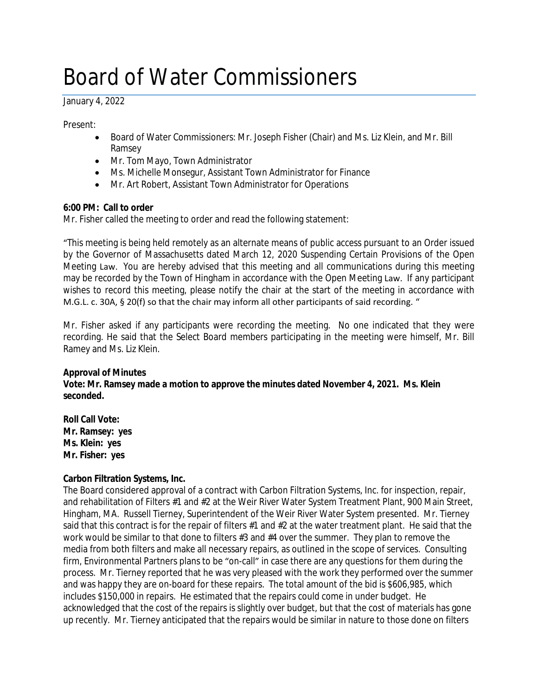# Board of Water Commissioners

January 4, 2022

Present:

- Board of Water Commissioners: Mr. Joseph Fisher (Chair) and Ms. Liz Klein, and Mr. Bill Ramsey
- Mr. Tom Mayo, Town Administrator
- Ms. Michelle Monsegur, Assistant Town Administrator for Finance
- Mr. Art Robert, Assistant Town Administrator for Operations

## **6:00 PM: Call to order**

Mr. Fisher called the meeting to order and read the following statement:

"This meeting is being held remotely as an alternate means of public access pursuant to an Order issued by the Governor of Massachusetts dated March 12, 2020 Suspending Certain Provisions of the Open Meeting Law. You are hereby advised that this meeting and all communications during this meeting may be recorded by the Town of Hingham in accordance with the Open Meeting Law. If any participant wishes to record this meeting, please notify the chair at the start of the meeting in accordance with M.G.L. c. 30A, § 20(f) so that the chair may inform all other participants of said recording. "

Mr. Fisher asked if any participants were recording the meeting. No one indicated that they were recording. He said that the Select Board members participating in the meeting were himself, Mr. Bill Ramey and Ms. Liz Klein.

## **Approval of Minutes**

**Vote: Mr. Ramsey made a motion to approve the minutes dated November 4, 2021. Ms. Klein seconded.**

**Roll Call Vote: Mr. Ramsey: yes Ms. Klein: yes Mr. Fisher: yes**

## **Carbon Filtration Systems, Inc.**

The Board considered approval of a contract with Carbon Filtration Systems, Inc. for inspection, repair, and rehabilitation of Filters #1 and #2 at the Weir River Water System Treatment Plant, 900 Main Street, Hingham, MA. Russell Tierney, Superintendent of the Weir River Water System presented. Mr. Tierney said that this contract is for the repair of filters #1 and #2 at the water treatment plant. He said that the work would be similar to that done to filters #3 and #4 over the summer. They plan to remove the media from both filters and make all necessary repairs, as outlined in the scope of services. Consulting firm, Environmental Partners plans to be "on-call" in case there are any questions for them during the process. Mr. Tierney reported that he was very pleased with the work they performed over the summer and was happy they are on-board for these repairs. The total amount of the bid is \$606,985, which includes \$150,000 in repairs. He estimated that the repairs could come in under budget. He acknowledged that the cost of the repairs is slightly over budget, but that the cost of materials has gone up recently. Mr. Tierney anticipated that the repairs would be similar in nature to those done on filters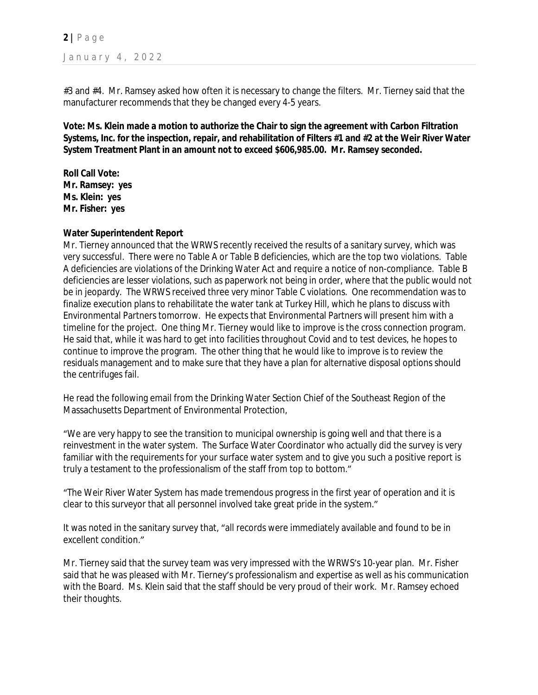**2 |** P a g e January 4, 2022

#3 and #4. Mr. Ramsey asked how often it is necessary to change the filters. Mr. Tierney said that the manufacturer recommends that they be changed every 4-5 years.

**Vote: Ms. Klein made a motion to authorize the Chair to sign the agreement with Carbon Filtration Systems, Inc. for the inspection, repair, and rehabilitation of Filters #1 and #2 at the Weir River Water System Treatment Plant in an amount not to exceed \$606,985.00. Mr. Ramsey seconded.**

**Roll Call Vote: Mr. Ramsey: yes Ms. Klein: yes Mr. Fisher: yes**

#### **Water Superintendent Report**

Mr. Tierney announced that the WRWS recently received the results of a sanitary survey, which was very successful. There were no Table A or Table B deficiencies, which are the top two violations. Table A deficiencies are violations of the Drinking Water Act and require a notice of non-compliance. Table B deficiencies are lesser violations, such as paperwork not being in order, where that the public would not be in jeopardy. The WRWS received three very minor Table C violations. One recommendation was to finalize execution plans to rehabilitate the water tank at Turkey Hill, which he plans to discuss with Environmental Partners tomorrow. He expects that Environmental Partners will present him with a timeline for the project. One thing Mr. Tierney would like to improve is the cross connection program. He said that, while it was hard to get into facilities throughout Covid and to test devices, he hopes to continue to improve the program. The other thing that he would like to improve is to review the residuals management and to make sure that they have a plan for alternative disposal options should the centrifuges fail.

He read the following email from the Drinking Water Section Chief of the Southeast Region of the Massachusetts Department of Environmental Protection,

"We are very happy to see the transition to municipal ownership is going well and that there is a reinvestment in the water system. The Surface Water Coordinator who actually did the survey is very familiar with the requirements for your surface water system and to give you such a positive report is truly a testament to the professionalism of the staff from top to bottom."

"The Weir River Water System has made tremendous progress in the first year of operation and it is clear to this surveyor that all personnel involved take great pride in the system."

It was noted in the sanitary survey that, "all records were immediately available and found to be in excellent condition."

Mr. Tierney said that the survey team was very impressed with the WRWS's 10-year plan. Mr. Fisher said that he was pleased with Mr. Tierney's professionalism and expertise as well as his communication with the Board. Ms. Klein said that the staff should be very proud of their work. Mr. Ramsey echoed their thoughts.